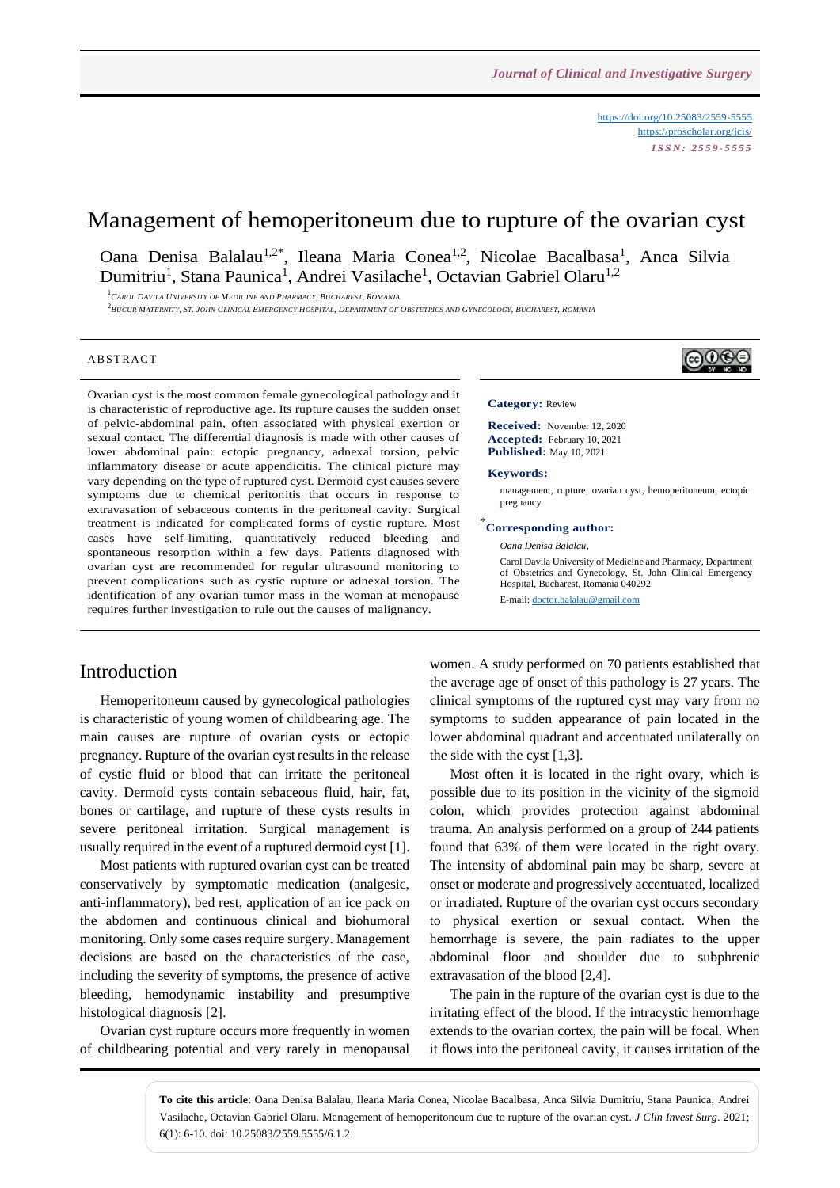<https://doi.org/10.25083/2559-5555> <https://proscholar.org/jcis/> *I S S N : 2 5 5 9 - 5 5 5 5*

# Management of hemoperitoneum due to rupture of the ovarian cyst

Oana Denisa Balalau<sup>1,2\*</sup>, Ileana Maria Conea<sup>1,2</sup>, Nicolae Bacalbasa<sup>1</sup>, Anca Silvia Dumitriu<sup>1</sup>, Stana Paunica<sup>1</sup>, Andrei Vasilache<sup>1</sup>, Octavian Gabriel Olaru<sup>1,2</sup>

<sup>1</sup>*CAROL DAVILA UNIVERSITY OF MEDICINE AND PHARMACY, BUCHAREST, ROMANIA*

.<br>2Bucur Maternity, St. John Clinical Emergency Hospital, Department of Obstetrics and Gynecology, Bucharest, Romania

#### **ABSTRACT**

Ovarian cyst is the most common female gynecological pathology and it is characteristic of reproductive age. Its rupture causes the sudden onset of pelvic-abdominal pain, often associated with physical exertion or sexual contact. The differential diagnosis is made with other causes of lower abdominal pain: ectopic pregnancy, adnexal torsion, pelvic inflammatory disease or acute appendicitis. The clinical picture may vary depending on the type of ruptured cyst. Dermoid cyst causes severe symptoms due to chemical peritonitis that occurs in response to extravasation of sebaceous contents in the peritoneal cavity. Surgical treatment is indicated for complicated forms of cystic rupture. Most cases have self-limiting, quantitatively reduced bleeding and spontaneous resorption within a few days. Patients diagnosed with ovarian cyst are recommended for regular ultrasound monitoring to prevent complications such as cystic rupture or adnexal torsion. The identification of any ovarian tumor mass in the woman at menopause requires further investigation to rule out the causes of malignancy.

### Introduction

Hemoperitoneum caused by gynecological pathologies is characteristic of young women of childbearing age. The main causes are rupture of ovarian cysts or ectopic pregnancy. Rupture of the ovarian cyst results in the release of cystic fluid or blood that can irritate the peritoneal cavity. Dermoid cysts contain sebaceous fluid, hair, fat, bones or cartilage, and rupture of these cysts results in severe peritoneal irritation. Surgical management is usually required in the event of a ruptured dermoid cyst [1].

Most patients with ruptured ovarian cyst can be treated conservatively by symptomatic medication (analgesic, anti-inflammatory), bed rest, application of an ice pack on the abdomen and continuous clinical and biohumoral monitoring. Only some cases require surgery. Management decisions are based on the characteristics of the case, including the severity of symptoms, the presence of active bleeding, hemodynamic instability and presumptive histological diagnosis [2].

Ovarian cyst rupture occurs more frequently in women of childbearing potential and very rarely in menopausal



#### **Category:** Review

**Received:** November 12, 2020 **Accepted:** February 10, 2021 **Published:** May 10, 2021

#### **Keywords:**

management, rupture, ovarian cyst, hemoperitoneum, ectopic pregnancy

## \* **Corresponding author:**

*Oana Denisa Balalau,*

Carol Davila University of Medicine and Pharmacy, Department of Obstetrics and Gynecology, St. John Clinical Emergency Hospital, Bucharest, Romania 040292

E-mail[: doctor.balalau@gmail.com](mailto:doctor.balalau@gmail.com)

women. A study performed on 70 patients established that the average age of onset of this pathology is 27 years. The clinical symptoms of the ruptured cyst may vary from no symptoms to sudden appearance of pain located in the lower abdominal quadrant and accentuated unilaterally on the side with the cyst [1,3].

Most often it is located in the right ovary, which is possible due to its position in the vicinity of the sigmoid colon, which provides protection against abdominal trauma. An analysis performed on a group of 244 patients found that 63% of them were located in the right ovary. The intensity of abdominal pain may be sharp, severe at onset or moderate and progressively accentuated, localized or irradiated. Rupture of the ovarian cyst occurs secondary to physical exertion or sexual contact. When the hemorrhage is severe, the pain radiates to the upper abdominal floor and shoulder due to subphrenic extravasation of the blood [2,4].

The pain in the rupture of the ovarian cyst is due to the irritating effect of the blood. If the intracystic hemorrhage extends to the ovarian cortex, the pain will be focal. When it flows into the peritoneal cavity, it causes irritation of the

**To cite this article**: Oana Denisa Balalau, Ileana Maria Conea, Nicolae Bacalbasa, Anca Silvia Dumitriu, Stana Paunica, Andrei Vasilache, Octavian Gabriel Olaru. Management of hemoperitoneum due to rupture of the ovarian cyst. *J Clin Invest Surg*. 2021; 6(1): 6-10. doi: 10.25083/2559.5555/6.1.2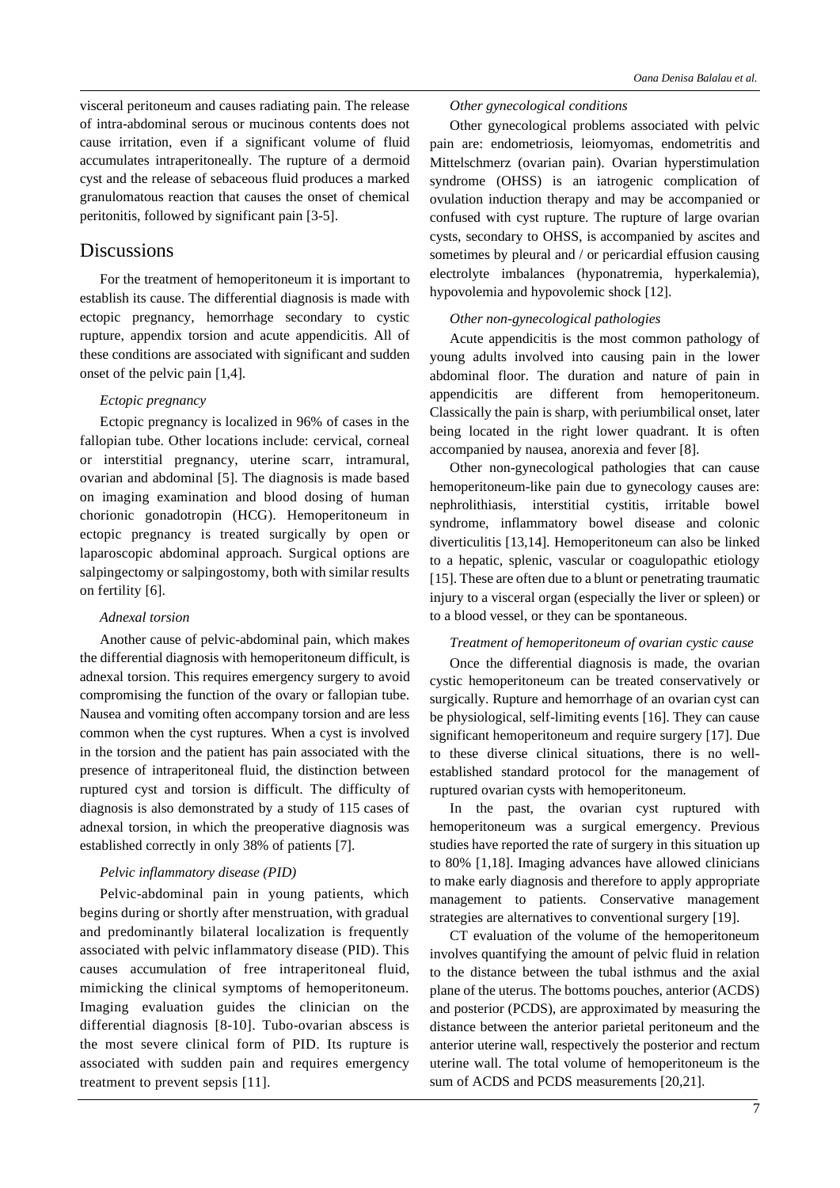visceral peritoneum and causes radiating pain. The release of intra-abdominal serous or mucinous contents does not cause irritation, even if a significant volume of fluid accumulates intraperitoneally. The rupture of a dermoid cyst and the release of sebaceous fluid produces a marked granulomatous reaction that causes the onset of chemical peritonitis, followed by significant pain [3-5].

## Discussions

For the treatment of hemoperitoneum it is important to establish its cause. The differential diagnosis is made with ectopic pregnancy, hemorrhage secondary to cystic rupture, appendix torsion and acute appendicitis. All of these conditions are associated with significant and sudden onset of the pelvic pain [1,4].

### *Ectopic pregnancy*

Ectopic pregnancy is localized in 96% of cases in the fallopian tube. Other locations include: cervical, corneal or interstitial pregnancy, uterine scarr, intramural, ovarian and abdominal [5]. The diagnosis is made based on imaging examination and blood dosing of human chorionic gonadotropin (HCG). Hemoperitoneum in ectopic pregnancy is treated surgically by open or laparoscopic abdominal approach. Surgical options are salpingectomy or salpingostomy, both with similar results on fertility [6].

### *Adnexal torsion*

Another cause of pelvic-abdominal pain, which makes the differential diagnosis with hemoperitoneum difficult, is adnexal torsion. This requires emergency surgery to avoid compromising the function of the ovary or fallopian tube. Nausea and vomiting often accompany torsion and are less common when the cyst ruptures. When a cyst is involved in the torsion and the patient has pain associated with the presence of intraperitoneal fluid, the distinction between ruptured cyst and torsion is difficult. The difficulty of diagnosis is also demonstrated by a study of 115 cases of adnexal torsion, in which the preoperative diagnosis was established correctly in only 38% of patients [7].

### *Pelvic inflammatory disease (PID)*

Pelvic-abdominal pain in young patients, which begins during or shortly after menstruation, with gradual and predominantly bilateral localization is frequently associated with pelvic inflammatory disease (PID). This causes accumulation of free intraperitoneal fluid, mimicking the clinical symptoms of hemoperitoneum. Imaging evaluation guides the clinician on the differential diagnosis [8-10]. Tubo-ovarian abscess is the most severe clinical form of PID. Its rupture is associated with sudden pain and requires emergency treatment to prevent sepsis [11].

#### *Other gynecological conditions*

Other gynecological problems associated with pelvic pain are: endometriosis, leiomyomas, endometritis and Mittelschmerz (ovarian pain). Ovarian hyperstimulation syndrome (OHSS) is an iatrogenic complication of ovulation induction therapy and may be accompanied or confused with cyst rupture. The rupture of large ovarian cysts, secondary to OHSS, is accompanied by ascites and sometimes by pleural and / or pericardial effusion causing electrolyte imbalances (hyponatremia, hyperkalemia), hypovolemia and hypovolemic shock [12].

### *Other non-gynecological pathologies*

Acute appendicitis is the most common pathology of young adults involved into causing pain in the lower abdominal floor. The duration and nature of pain in appendicitis are different from hemoperitoneum. Classically the pain is sharp, with periumbilical onset, later being located in the right lower quadrant. It is often accompanied by nausea, anorexia and fever [8].

Other non-gynecological pathologies that can cause hemoperitoneum-like pain due to gynecology causes are: nephrolithiasis, interstitial cystitis, irritable bowel syndrome, inflammatory bowel disease and colonic diverticulitis [13,14]. Hemoperitoneum can also be linked to a hepatic, splenic, vascular or coagulopathic etiology [15]. These are often due to a blunt or penetrating traumatic injury to a visceral organ (especially the liver or spleen) or to a blood vessel, or they can be spontaneous.

### *Treatment of hemoperitoneum of ovarian cystic cause*

Once the differential diagnosis is made, the ovarian cystic hemoperitoneum can be treated conservatively or surgically. Rupture and hemorrhage of an ovarian cyst can be physiological, self-limiting events [16]. They can cause significant hemoperitoneum and require surgery [17]. Due to these diverse clinical situations, there is no wellestablished standard protocol for the management of ruptured ovarian cysts with hemoperitoneum.

In the past, the ovarian cyst ruptured with hemoperitoneum was a surgical emergency. Previous studies have reported the rate of surgery in this situation up to 80% [1,18]. Imaging advances have allowed clinicians to make early diagnosis and therefore to apply appropriate management to patients. Conservative management strategies are alternatives to conventional surgery [19].

CT evaluation of the volume of the hemoperitoneum involves quantifying the amount of pelvic fluid in relation to the distance between the tubal isthmus and the axial plane of the uterus. The bottoms pouches, anterior (ACDS) and posterior (PCDS), are approximated by measuring the distance between the anterior parietal peritoneum and the anterior uterine wall, respectively the posterior and rectum uterine wall. The total volume of hemoperitoneum is the sum of ACDS and PCDS measurements [20,21].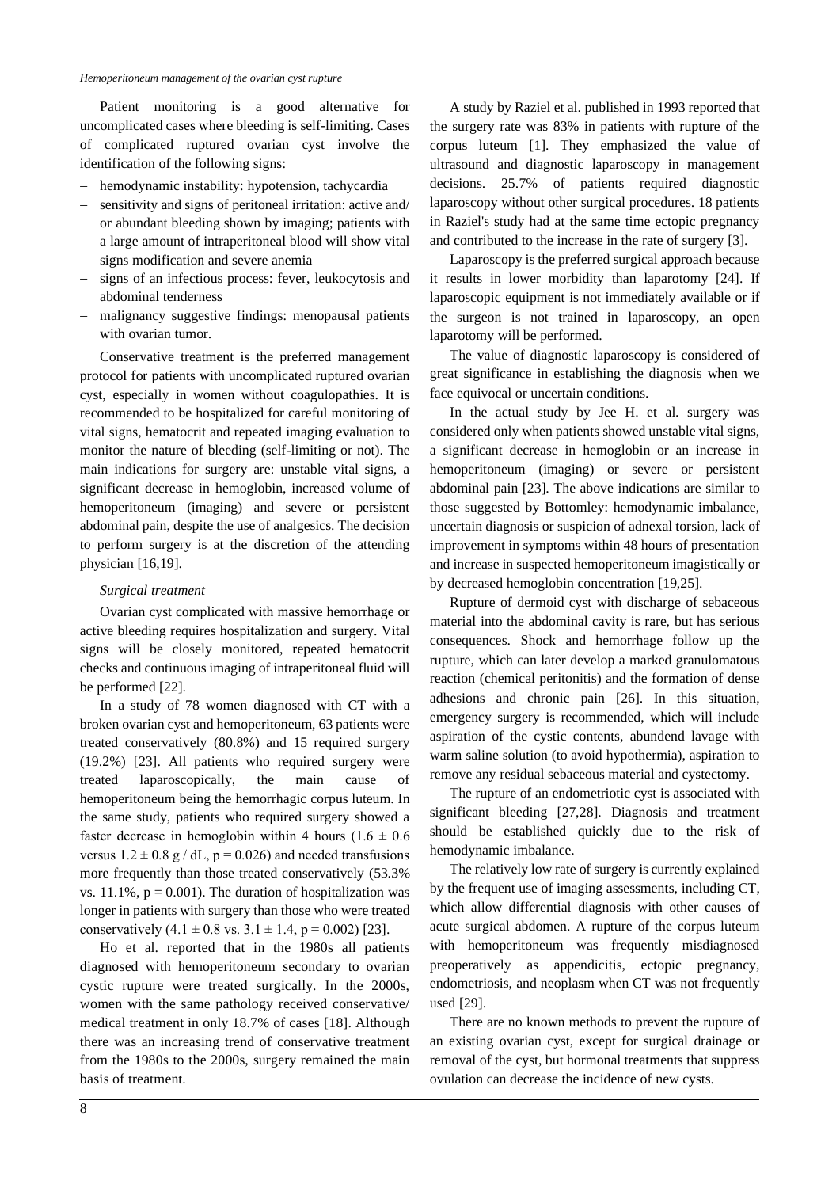Patient monitoring is a good alternative for uncomplicated cases where bleeding is self-limiting. Cases of complicated ruptured ovarian cyst involve the identification of the following signs:

- hemodynamic instability: hypotension, tachycardia
- sensitivity and signs of peritoneal irritation: active and/ or abundant bleeding shown by imaging; patients with a large amount of intraperitoneal blood will show vital signs modification and severe anemia
- signs of an infectious process: fever, leukocytosis and abdominal tenderness
- malignancy suggestive findings: menopausal patients with ovarian tumor.

Conservative treatment is the preferred management protocol for patients with uncomplicated ruptured ovarian cyst, especially in women without coagulopathies. It is recommended to be hospitalized for careful monitoring of vital signs, hematocrit and repeated imaging evaluation to monitor the nature of bleeding (self-limiting or not). The main indications for surgery are: unstable vital signs, a significant decrease in hemoglobin, increased volume of hemoperitoneum (imaging) and severe or persistent abdominal pain, despite the use of analgesics. The decision to perform surgery is at the discretion of the attending physician [16,19].

### *Surgical treatment*

Ovarian cyst complicated with massive hemorrhage or active bleeding requires hospitalization and surgery. Vital signs will be closely monitored, repeated hematocrit checks and continuous imaging of intraperitoneal fluid will be performed [22].

In a study of 78 women diagnosed with CT with a broken ovarian cyst and hemoperitoneum, 63 patients were treated conservatively (80.8%) and 15 required surgery (19.2%) [23]. All patients who required surgery were treated laparoscopically, the main cause of hemoperitoneum being the hemorrhagic corpus luteum. In the same study, patients who required surgery showed a faster decrease in hemoglobin within 4 hours  $(1.6 \pm 0.6)$ versus  $1.2 \pm 0.8$  g / dL, p = 0.026) and needed transfusions more frequently than those treated conservatively (53.3% vs. 11.1%,  $p = 0.001$ ). The duration of hospitalization was longer in patients with surgery than those who were treated conservatively  $(4.1 \pm 0.8 \text{ vs. } 3.1 \pm 1.4, \text{ p} = 0.002)$  [23].

Ho et al. reported that in the 1980s all patients diagnosed with hemoperitoneum secondary to ovarian cystic rupture were treated surgically. In the 2000s, women with the same pathology received conservative/ medical treatment in only 18.7% of cases [18]. Although there was an increasing trend of conservative treatment from the 1980s to the 2000s, surgery remained the main basis of treatment.

A study by Raziel et al. published in 1993 reported that the surgery rate was 83% in patients with rupture of the corpus luteum [1]. They emphasized the value of ultrasound and diagnostic laparoscopy in management decisions. 25.7% of patients required diagnostic laparoscopy without other surgical procedures. 18 patients in Raziel's study had at the same time ectopic pregnancy and contributed to the increase in the rate of surgery [3].

Laparoscopy is the preferred surgical approach because it results in lower morbidity than laparotomy [24]. If laparoscopic equipment is not immediately available or if the surgeon is not trained in laparoscopy, an open laparotomy will be performed.

The value of diagnostic laparoscopy is considered of great significance in establishing the diagnosis when we face equivocal or uncertain conditions.

In the actual study by Jee H. et al. surgery was considered only when patients showed unstable vital signs, a significant decrease in hemoglobin or an increase in hemoperitoneum (imaging) or severe or persistent abdominal pain [23]. The above indications are similar to those suggested by Bottomley: hemodynamic imbalance, uncertain diagnosis or suspicion of adnexal torsion, lack of improvement in symptoms within 48 hours of presentation and increase in suspected hemoperitoneum imagistically or by decreased hemoglobin concentration [19,25].

Rupture of dermoid cyst with discharge of sebaceous material into the abdominal cavity is rare, but has serious consequences. Shock and hemorrhage follow up the rupture, which can later develop a marked granulomatous reaction (chemical peritonitis) and the formation of dense adhesions and chronic pain [26]. In this situation, emergency surgery is recommended, which will include aspiration of the cystic contents, abundend lavage with warm saline solution (to avoid hypothermia), aspiration to remove any residual sebaceous material and cystectomy.

The rupture of an endometriotic cyst is associated with significant bleeding [27,28]. Diagnosis and treatment should be established quickly due to the risk of hemodynamic imbalance.

The relatively low rate of surgery is currently explained by the frequent use of imaging assessments, including CT, which allow differential diagnosis with other causes of acute surgical abdomen. A rupture of the corpus luteum with hemoperitoneum was frequently misdiagnosed preoperatively as appendicitis, ectopic pregnancy, endometriosis, and neoplasm when CT was not frequently used [29].

There are no known methods to prevent the rupture of an existing ovarian cyst, except for surgical drainage or removal of the cyst, but hormonal treatments that suppress ovulation can decrease the incidence of new cysts.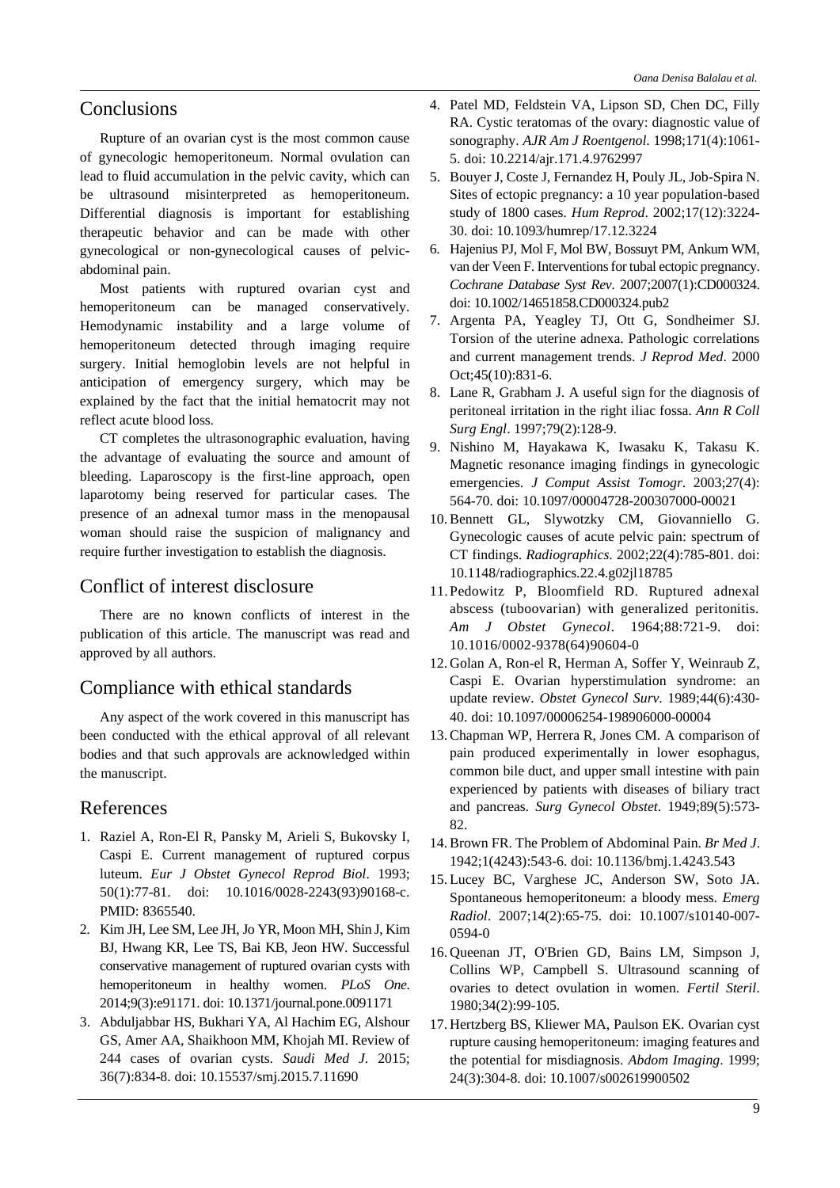# **Conclusions**

Rupture of an ovarian cyst is the most common cause of gynecologic hemoperitoneum. Normal ovulation can lead to fluid accumulation in the pelvic cavity, which can be ultrasound misinterpreted as hemoperitoneum. Differential diagnosis is important for establishing therapeutic behavior and can be made with other gynecological or non-gynecological causes of pelvicabdominal pain.

Most patients with ruptured ovarian cyst and hemoperitoneum can be managed conservatively. Hemodynamic instability and a large volume of hemoperitoneum detected through imaging require surgery. Initial hemoglobin levels are not helpful in anticipation of emergency surgery, which may be explained by the fact that the initial hematocrit may not reflect acute blood loss.

CT completes the ultrasonographic evaluation, having the advantage of evaluating the source and amount of bleeding. Laparoscopy is the first-line approach, open laparotomy being reserved for particular cases. The presence of an adnexal tumor mass in the menopausal woman should raise the suspicion of malignancy and require further investigation to establish the diagnosis.

# Conflict of interest disclosure

There are no known conflicts of interest in the publication of this article. The manuscript was read and approved by all authors.

# Compliance with ethical standards

Any aspect of the work covered in this manuscript has been conducted with the ethical approval of all relevant bodies and that such approvals are acknowledged within the manuscript.

## References

- 1. Raziel A, Ron-El R, Pansky M, Arieli S, Bukovsky I, Caspi E. Current management of ruptured corpus luteum. *Eur J Obstet Gynecol Reprod Biol*. 1993; 50(1):77-81. doi: 10.1016/0028-2243(93)90168-c. PMID: 8365540.
- 2. Kim JH, Lee SM, Lee JH, Jo YR, Moon MH, Shin J, Kim BJ, Hwang KR, Lee TS, Bai KB, Jeon HW. Successful conservative management of ruptured ovarian cysts with hemoperitoneum in healthy women. *PLoS One*. 2014;9(3):e91171. doi: 10.1371/journal.pone.0091171
- 3. Abduljabbar HS, Bukhari YA, Al Hachim EG, Alshour GS, Amer AA, Shaikhoon MM, Khojah MI. Review of 244 cases of ovarian cysts. *Saudi Med J*. 2015; 36(7):834-8. doi: 10.15537/smj.2015.7.11690
- 4. Patel MD, Feldstein VA, Lipson SD, Chen DC, Filly RA. Cystic teratomas of the ovary: diagnostic value of sonography. *AJR Am J Roentgenol*. 1998;171(4):1061- 5. doi: 10.2214/ajr.171.4.9762997
- 5. Bouyer J, Coste J, Fernandez H, Pouly JL, Job-Spira N. Sites of ectopic pregnancy: a 10 year population-based study of 1800 cases. *Hum Reprod*. 2002;17(12):3224- 30. doi: 10.1093/humrep/17.12.3224
- 6. Hajenius PJ, Mol F, Mol BW, Bossuyt PM, Ankum WM, van der Veen F. Interventions for tubal ectopic pregnancy. *Cochrane Database Syst Rev*. 2007;2007(1):CD000324. doi: 10.1002/14651858.CD000324.pub2
- 7. Argenta PA, Yeagley TJ, Ott G, Sondheimer SJ. Torsion of the uterine adnexa. Pathologic correlations and current management trends. *J Reprod Med*. 2000 Oct;45(10):831-6.
- 8. Lane R, Grabham J. A useful sign for the diagnosis of peritoneal irritation in the right iliac fossa. *Ann R Coll Surg Engl*. 1997;79(2):128-9.
- 9. Nishino M, Hayakawa K, Iwasaku K, Takasu K. Magnetic resonance imaging findings in gynecologic emergencies. *J Comput Assist Tomogr*. 2003;27(4): 564-70. doi: 10.1097/00004728-200307000-00021
- 10. Bennett GL, Slywotzky CM, Giovanniello G. Gynecologic causes of acute pelvic pain: spectrum of CT findings. *Radiographics*. 2002;22(4):785-801. doi: 10.1148/radiographics.22.4.g02jl18785
- 11.Pedowitz P, Bloomfield RD. Ruptured adnexal abscess (tuboovarian) with generalized peritonitis. *Am J Obstet Gynecol*. 1964;88:721-9. doi: 10.1016/0002-9378(64)90604-0
- 12. Golan A, Ron-el R, Herman A, Soffer Y, Weinraub Z, Caspi E. Ovarian hyperstimulation syndrome: an update review. *Obstet Gynecol Surv*. 1989;44(6):430- 40. doi: 10.1097/00006254-198906000-00004
- 13. Chapman WP, Herrera R, Jones CM. A comparison of pain produced experimentally in lower esophagus, common bile duct, and upper small intestine with pain experienced by patients with diseases of biliary tract and pancreas. *Surg Gynecol Obstet*. 1949;89(5):573- 82.
- 14. Brown FR. The Problem of Abdominal Pain. *Br Med J*. 1942;1(4243):543-6. doi: 10.1136/bmj.1.4243.543
- 15. Lucey BC, Varghese JC, Anderson SW, Soto JA. Spontaneous hemoperitoneum: a bloody mess. *Emerg Radiol*. 2007;14(2):65-75. doi: 10.1007/s10140-007- 0594-0
- 16. Queenan JT, O'Brien GD, Bains LM, Simpson J, Collins WP, Campbell S. Ultrasound scanning of ovaries to detect ovulation in women. *Fertil Steril*. 1980;34(2):99-105.
- 17. Hertzberg BS, Kliewer MA, Paulson EK. Ovarian cyst rupture causing hemoperitoneum: imaging features and the potential for misdiagnosis. *Abdom Imaging*. 1999; 24(3):304-8. doi: 10.1007/s002619900502